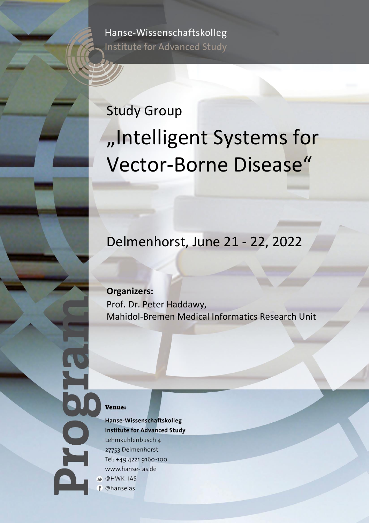Hanse-Wissenschaftskolleg Institute for Advanced Study

# Study Group "Intelligent Systems for Vector-Borne Disease"

## Delmenhorst, June 21 - 22, 2022

**Organizers:**

Prof. Dr. Peter Haddawy, Mahidol-Bremen Medical Informatics Research Unit

#### Venue:

Hanse-Wissenschaftskolleg **Institute for Advanced Study** Lehmkuhlenbusch 4 27753 Delmenhorst Tel: +49 4221 9160-100 www.hanse-ias.de **M** @HWK IAS

f @hanseias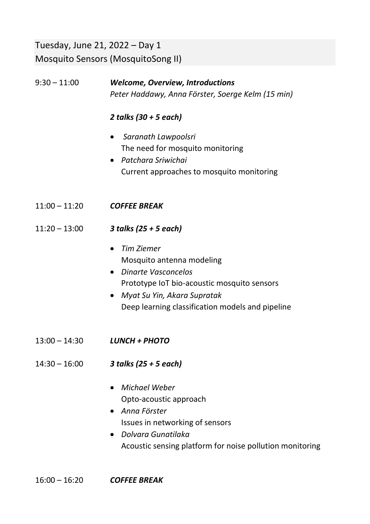### Tuesday, June 21, 2022 – Day 1 Mosquito Sensors (MosquitoSong II)

#### 9:30 – 11:00 *Welcome, Overview, Introductions Peter Haddawy, Anna Förster, Soerge Kelm (15 min)*

#### *2 talks (30 + 5 each)*

- *Saranath Lawpoolsri* The need for mosquito monitoring
- *Patchara Sriwichai* Current approaches to mosquito monitoring
- 11:00 11:20 *COFFEE BREAK*
- 11:20 13:00 *3 talks (25 + 5 each)*
	- *Tim Ziemer* Mosquito antenna modeling
	- *Dinarte Vasconcelos* Prototype IoT bio-acoustic mosquito sensors
	- *Myat Su Yin, Akara Supratak* Deep learning classification models and pipeline
- 13:00 14:30 *LUNCH + PHOTO*
- 14:30 16:00 *3 talks (25 + 5 each)*
	- *Michael Weber* Opto-acoustic approach
	- *Anna Förster* Issues in networking of sensors
	- *Dolvara Gunatilaka* Acoustic sensing platform for noise pollution monitoring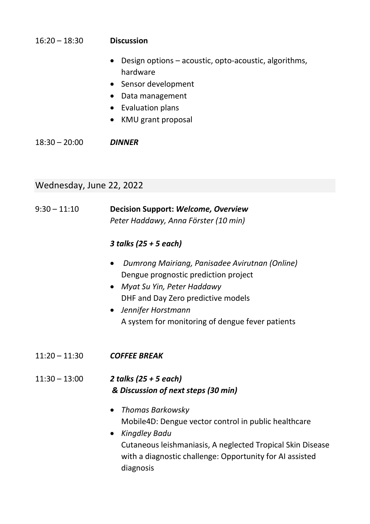#### 16:20 – 18:30 **Discussion**

- Design options acoustic, opto-acoustic, algorithms, hardware
- Sensor development
- Data management
- Evaluation plans
- KMU grant proposal

18:30 – 20:00 *DINNER*

### Wednesday, June 22, 2022

| $9:30 - 11:10$  | <b>Decision Support: Welcome, Overview</b><br>Peter Haddawy, Anna Förster (10 min)                                                                                                                                                             |
|-----------------|------------------------------------------------------------------------------------------------------------------------------------------------------------------------------------------------------------------------------------------------|
|                 | 3 talks (25 + 5 each)                                                                                                                                                                                                                          |
|                 | Dumrong Mairiang, Panisadee Avirutnan (Online)<br>Dengue prognostic prediction project<br>Myat Su Yin, Peter Haddawy<br>DHF and Day Zero predictive models<br>Jennifer Horstmann<br>A system for monitoring of dengue fever patients           |
| $11:20 - 11:30$ | <b>COFFEE BREAK</b>                                                                                                                                                                                                                            |
| $11:30 - 13:00$ | 2 talks (25 + 5 each)<br>& Discussion of next steps (30 min)                                                                                                                                                                                   |
|                 | <b>Thomas Barkowsky</b><br>Mobile4D: Dengue vector control in public healthcare<br><b>Kingdley Badu</b><br>Cutaneous leishmaniasis, A neglected Tropical Skin Disease<br>with a diagnostic challenge: Opportunity for AI assisted<br>diagnosis |